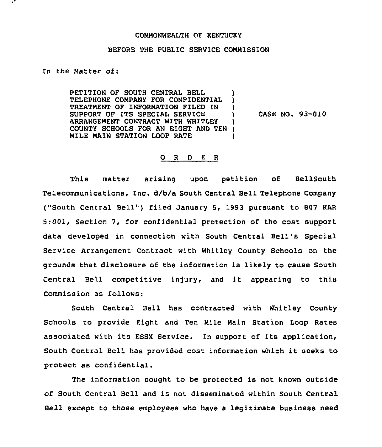## COMMONWEALTH OF KENTUCKY

## BEFORE THE PUBLIC SERVICE COMMISSION

In the Matter of:

PETITION OF SOUTH CENTRAL BELL (1) TELEPHONE COMPANY FOR CONFIDENTIAL TREATMENT OF INFORMATION FILED IN )<br>SUPPORT OF ITS SPECIAL SERVICE SUPPORT OF ITS SPECIAL SERVICE (3) ARRANGEMENT CONTRACT WITH WHITLEY ) COUNTY SCHOOLS FOR AN EIGHT AND TEN )<br>MILE MAIN STATION LOOP RATE MILE MAIN STATION LOOP RATE

CASE NO. 93-010

## 0 <sup>R</sup> <sup>D</sup> <sup>E</sup> <sup>R</sup>

This matter arising upon petition of BellSouth Telecommunications, Inc. d/b/a South Central Bell Telephone Company ("South Central Bell") filed January 5, 1993 pursuant to 807 KAR 5:001, Section 7, for confidential protection of the cost support data developed in connection with South Central Bell's Special Service Arrangement Contract with Whitley County Schools on the grounds that disclosure of the information is likely to cause South Central Bell competitive injury, and it appearing to this Commission as follows:

South Central Bell has contracted with Whitley County Schools to provide Eight and Ten Mile Main Station Loop Rates associated with its ESSX Service. In support of its application, South Central Bell has provided cost information which it seeks to protect as confidential.

The information sought to be protected is not known outside of South Central Bell and is not disseminated within South Central Bell except to those employees who have a legitimate business need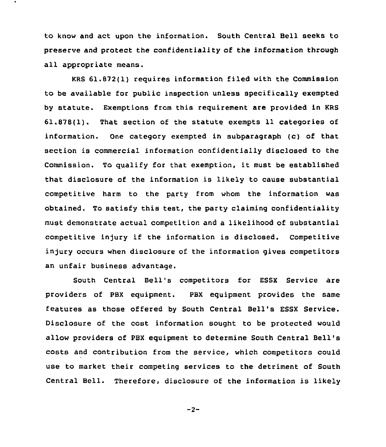to know and act upon the information. South Central Bell seeks to preserve and protect the confidentiality of the information through all appropriate means.

KRS 61.872(1) requires information filed with the Commission to be available for public inspection unless specifically exempted by statute. Exemptions from this requirement are provided in KRS 61.878(1). That section of the statute exempts 11 categories of information. One category exempted in subparagraph (c) of that section is commercial information confidentially disclosed to the Commission. To qualify for that exemption, it must be established that disclosure of the information is likely to cause substantial competitive harm to the party from whom the information was obtained. To satisfy this test, the party claiming confidentiality must demonstrate actual competition and a likelihood of substantial competitive injury if the information is disclosed. Competitive injury occurs when disclosure of the information gives competitors an unfair business advantage.

South Central Bell's competitors for ESSX Service are providers of PBX equipment. PBX equipment provides the same features as those offered by South Central Bell's ESSX Service. Disclosure of the cost information sought to be protected would allow providers of PBX equipment to determine South Central Bell' costs and contribution from the service, which competitors could use to market their competing services to the detriment of South Central Bell. Therefore, disclosure of the information is likely

 $-2-$